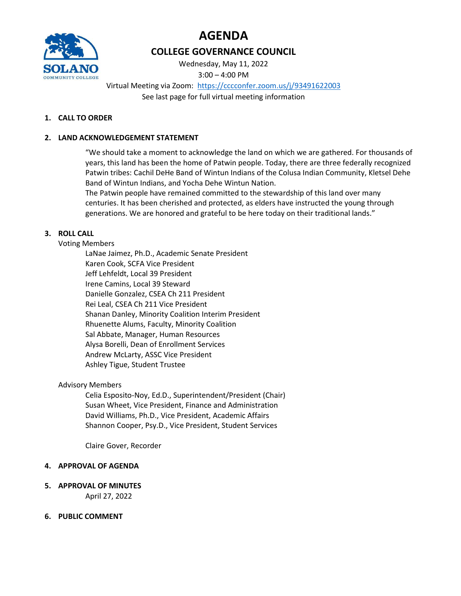



# COLLEGE GOVERNANCE COUNCIL

Wednesday, May 11, 2022 3:00 – 4:00 PM

Virtual Meeting via Zoom: https://cccconfer.zoom.us/j/93491622003 See last page for full virtual meeting information

## 1. CALL TO ORDER

## 2. LAND ACKNOWLEDGEMENT STATEMENT

"We should take a moment to acknowledge the land on which we are gathered. For thousands of years, this land has been the home of Patwin people. Today, there are three federally recognized Patwin tribes: Cachil DeHe Band of Wintun Indians of the Colusa Indian Community, Kletsel Dehe Band of Wintun Indians, and Yocha Dehe Wintun Nation.

The Patwin people have remained committed to the stewardship of this land over many centuries. It has been cherished and protected, as elders have instructed the young through generations. We are honored and grateful to be here today on their traditional lands."

## 3. ROLL CALL

### Voting Members

LaNae Jaimez, Ph.D., Academic Senate President Karen Cook, SCFA Vice President Jeff Lehfeldt, Local 39 President Irene Camins, Local 39 Steward Danielle Gonzalez, CSEA Ch 211 President Rei Leal, CSEA Ch 211 Vice President Shanan Danley, Minority Coalition Interim President Rhuenette Alums, Faculty, Minority Coalition Sal Abbate, Manager, Human Resources Alysa Borelli, Dean of Enrollment Services Andrew McLarty, ASSC Vice President Ashley Tigue, Student Trustee

#### Advisory Members

Celia Esposito-Noy, Ed.D., Superintendent/President (Chair) Susan Wheet, Vice President, Finance and Administration David Williams, Ph.D., Vice President, Academic Affairs Shannon Cooper, Psy.D., Vice President, Student Services

Claire Gover, Recorder

#### 4. APPROVAL OF AGENDA

5. APPROVAL OF MINUTES

April 27, 2022

## 6. PUBLIC COMMENT